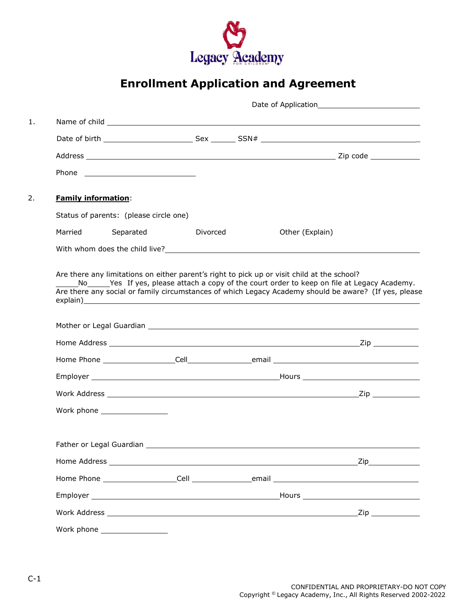

# **Enrollment Application and Agreement**

| <b>Family information:</b> |                                                                                                       |                                                                                                                |                 |  |
|----------------------------|-------------------------------------------------------------------------------------------------------|----------------------------------------------------------------------------------------------------------------|-----------------|--|
|                            | Status of parents: (please circle one)                                                                |                                                                                                                |                 |  |
| Married                    | Separated                                                                                             | Divorced                                                                                                       | Other (Explain) |  |
|                            |                                                                                                       |                                                                                                                |                 |  |
|                            | Are there any social or family circumstances of which Legacy Academy should be aware? (If yes, please |                                                                                                                |                 |  |
|                            |                                                                                                       | Mother or Legal Guardian Letter and Control of the Control of the Control of the Control of the Control of the |                 |  |
|                            |                                                                                                       |                                                                                                                |                 |  |
|                            |                                                                                                       |                                                                                                                |                 |  |
|                            |                                                                                                       |                                                                                                                |                 |  |
|                            |                                                                                                       |                                                                                                                |                 |  |
|                            | Work phone __________________                                                                         |                                                                                                                |                 |  |
|                            |                                                                                                       |                                                                                                                |                 |  |
|                            |                                                                                                       |                                                                                                                |                 |  |
|                            |                                                                                                       |                                                                                                                |                 |  |
|                            |                                                                                                       |                                                                                                                |                 |  |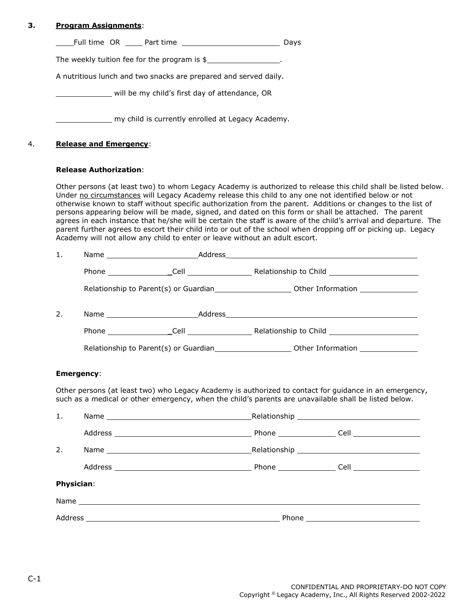## **3. Program Assignments**:

| Full time OR<br>Part time | Davs |
|---------------------------|------|
|---------------------------|------|

The weekly tuition fee for the program is  $$$ 

A nutritious lunch and two snacks are prepared and served daily.

will be my child's first day of attendance, OR

my child is currently enrolled at Legacy Academy.

### 4. **Release and Emergency**:

#### **Release Authorization**:

Other persons (at least two) to whom Legacy Academy is authorized to release this child shall be listed below. Under no circumstances will Legacy Academy release this child to any one not identified below or not otherwise known to staff without specific authorization from the parent. Additions or changes to the list of persons appearing below will be made, signed, and dated on this form or shall be attached. The parent agrees in each instance that he/she will be certain the staff is aware of the child's arrival and departure. The parent further agrees to escort their child into or out of the school when dropping off or picking up. Legacy Academy will not allow any child to enter or leave without an adult escort.

| 2. |  |  |
|----|--|--|
|    |  |  |
|    |  |  |

#### **Emergency**:

Other persons (at least two) who Legacy Academy is authorized to contact for guidance in an emergency, such as a medical or other emergency, when the child's parents are unavailable shall be listed below.

| 1.                |  |  |  |
|-------------------|--|--|--|
|                   |  |  |  |
| 2.                |  |  |  |
|                   |  |  |  |
| <b>Physician:</b> |  |  |  |
|                   |  |  |  |
|                   |  |  |  |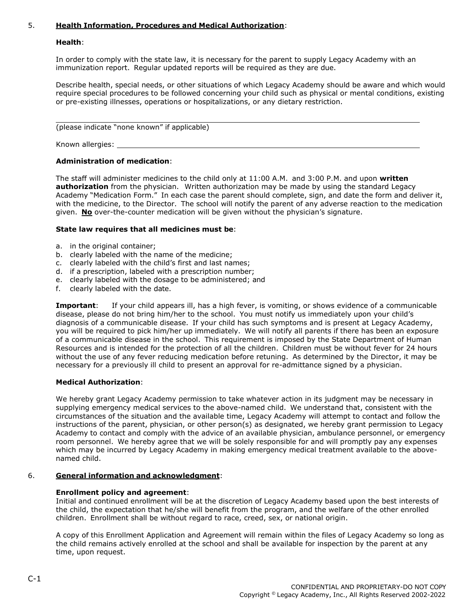## 5. **Health Information, Procedures and Medical Authorization**:

#### **Health**:

In order to comply with the state law, it is necessary for the parent to supply Legacy Academy with an immunization report. Regular updated reports will be required as they are due.

Describe health, special needs, or other situations of which Legacy Academy should be aware and which would require special procedures to be followed concerning your child such as physical or mental conditions, existing or pre-existing illnesses, operations or hospitalizations, or any dietary restriction.

(please indicate "none known" if applicable)

Known allergies:

#### **Administration of medication**:

The staff will administer medicines to the child only at 11:00 A.M. and 3:00 P.M. and upon **written authorization** from the physician. Written authorization may be made by using the standard Legacy Academy "Medication Form." In each case the parent should complete, sign, and date the form and deliver it, with the medicine, to the Director. The school will notify the parent of any adverse reaction to the medication given. **No** over-the-counter medication will be given without the physician's signature.

#### **State law requires that all medicines must be**:

- a. in the original container;
- b. clearly labeled with the name of the medicine;
- c. clearly labeled with the child's first and last names;
- d. if a prescription, labeled with a prescription number;
- e. clearly labeled with the dosage to be administered; and
- f. clearly labeled with the date.

**Important:** If your child appears ill, has a high fever, is vomiting, or shows evidence of a communicable disease, please do not bring him/her to the school. You must notify us immediately upon your child's diagnosis of a communicable disease. If your child has such symptoms and is present at Legacy Academy, you will be required to pick him/her up immediately. We will notify all parents if there has been an exposure of a communicable disease in the school. This requirement is imposed by the State Department of Human Resources and is intended for the protection of all the children. Children must be without fever for 24 hours without the use of any fever reducing medication before retuning. As determined by the Director, it may be necessary for a previously ill child to present an approval for re-admittance signed by a physician.

#### **Medical Authorization**:

We hereby grant Legacy Academy permission to take whatever action in its judgment may be necessary in supplying emergency medical services to the above-named child. We understand that, consistent with the circumstances of the situation and the available time, Legacy Academy will attempt to contact and follow the instructions of the parent, physician, or other person(s) as designated, we hereby grant permission to Legacy Academy to contact and comply with the advice of an available physician, ambulance personnel, or emergency room personnel. We hereby agree that we will be solely responsible for and will promptly pay any expenses which may be incurred by Legacy Academy in making emergency medical treatment available to the abovenamed child.

#### 6. **General information and acknowledgment**:

#### **Enrollment policy and agreement**:

Initial and continued enrollment will be at the discretion of Legacy Academy based upon the best interests of the child, the expectation that he/she will benefit from the program, and the welfare of the other enrolled children. Enrollment shall be without regard to race, creed, sex, or national origin.

A copy of this Enrollment Application and Agreement will remain within the files of Legacy Academy so long as the child remains actively enrolled at the school and shall be available for inspection by the parent at any time, upon request.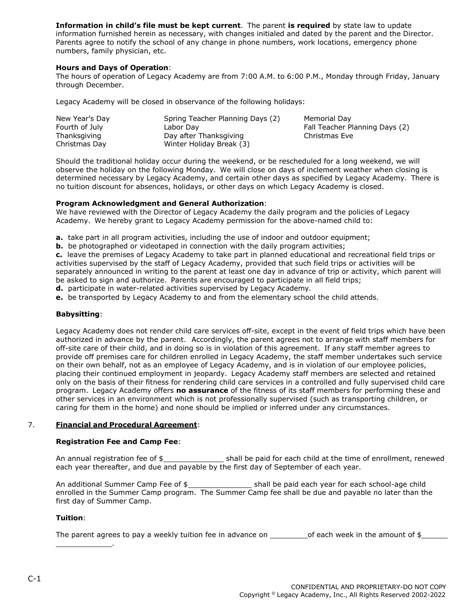**Information in child's file must be kept current**. The parent **is required** by state law to update information furnished herein as necessary, with changes initialed and dated by the parent and the Director. Parents agree to notify the school of any change in phone numbers, work locations, emergency phone numbers, family physician, etc.

#### **Hours and Days of Operation**:

The hours of operation of Legacy Academy are from 7:00 A.M. to 6:00 P.M., Monday through Friday, January through December.

Legacy Academy will be closed in observance of the following holidays:

| New Year's Day | Spring Teacher Planning Days (2) | Memorial Day                   |
|----------------|----------------------------------|--------------------------------|
| Fourth of July | Labor Day                        | Fall Teacher Planning Days (2) |
| Thanksgiving   | Day after Thanksgiving           | Christmas Eve                  |
| Christmas Day  | Winter Holiday Break (3)         |                                |

Should the traditional holiday occur during the weekend, or be rescheduled for a long weekend, we will observe the holiday on the following Monday. We will close on days of inclement weather when closing is determined necessary by Legacy Academy, and certain other days as specified by Legacy Academy. There is no tuition discount for absences, holidays, or other days on which Legacy Academy is closed.

#### **Program Acknowledgment and General Authorization**:

We have reviewed with the Director of Legacy Academy the daily program and the policies of Legacy Academy. We hereby grant to Legacy Academy permission for the above-named child to:

**a.** take part in all program activities, including the use of indoor and outdoor equipment;

**b.** be photographed or videotaped in connection with the daily program activities;

**c.** leave the premises of Legacy Academy to take part in planned educational and recreational field trips or activities supervised by the staff of Legacy Academy, provided that such field trips or activities will be separately announced in writing to the parent at least one day in advance of trip or activity, which parent will be asked to sign and authorize. Parents are encouraged to participate in all field trips;

**d.** participate in water-related activities supervised by Legacy Academy.

**e.** be transported by Legacy Academy to and from the elementary school the child attends.

#### **Babysitting**:

Legacy Academy does not render child care services off-site, except in the event of field trips which have been authorized in advance by the parent. Accordingly, the parent agrees not to arrange with staff members for off-site care of their child, and in doing so is in violation of this agreement. If any staff member agrees to provide off premises care for children enrolled in Legacy Academy, the staff member undertakes such service on their own behalf, not as an employee of Legacy Academy, and is in violation of our employee policies, placing their continued employment in jeopardy. Legacy Academy staff members are selected and retained only on the basis of their fitness for rendering child care services in a controlled and fully supervised child care program. Legacy Academy offers **no assurance** of the fitness of its staff members for performing these and other services in an environment which is not professionally supervised (such as transporting children, or caring for them in the home) and none should be implied or inferred under any circumstances.

#### 7. **Financial and Procedural Agreement**:

.

#### **Registration Fee and Camp Fee**:

An annual registration fee of \$ shall be paid for each child at the time of enrollment, renewed each year thereafter, and due and payable by the first day of September of each year.

An additional Summer Camp Fee of \$\_\_\_\_\_\_\_\_\_\_\_\_\_\_\_\_\_\_\_\_\_\_\_\_ shall be paid each year for each school-age child enrolled in the Summer Camp program. The Summer Camp fee shall be due and payable no later than the first day of Summer Camp.

#### **Tuition**:

The parent agrees to pay a weekly tuition fee in advance on  $\qquad \qquad$  of each week in the amount of \$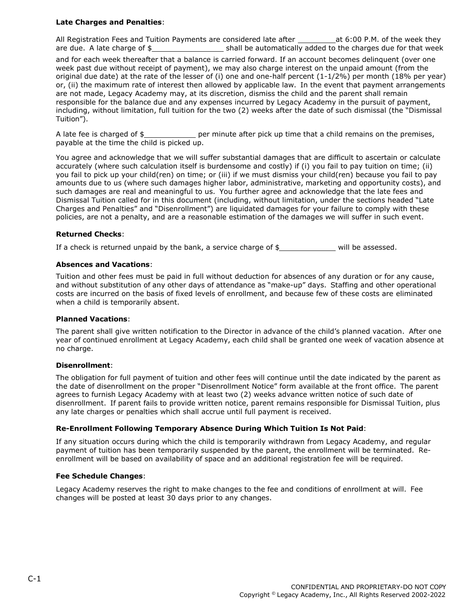#### **Late Charges and Penalties**:

All Registration Fees and Tuition Payments are considered late after at 6:00 P.M. of the week they are due. A late charge of \$ shall be automatically added to the charges due for that week

and for each week thereafter that a balance is carried forward. If an account becomes delinquent (over one week past due without receipt of payment), we may also charge interest on the unpaid amount (from the original due date) at the rate of the lesser of (i) one and one-half percent (1-1/2%) per month (18% per year) or, (ii) the maximum rate of interest then allowed by applicable law. In the event that payment arrangements are not made, Legacy Academy may, at its discretion, dismiss the child and the parent shall remain responsible for the balance due and any expenses incurred by Legacy Academy in the pursuit of payment, including, without limitation, full tuition for the two (2) weeks after the date of such dismissal (the "Dismissal Tuition").

A late fee is charged of  $\frac{4}{5}$  per minute after pick up time that a child remains on the premises, payable at the time the child is picked up.

You agree and acknowledge that we will suffer substantial damages that are difficult to ascertain or calculate accurately (where such calculation itself is burdensome and costly) if (i) you fail to pay tuition on time; (ii) you fail to pick up your child(ren) on time; or (iii) if we must dismiss your child(ren) because you fail to pay amounts due to us (where such damages higher labor, administrative, marketing and opportunity costs), and such damages are real and meaningful to us. You further agree and acknowledge that the late fees and Dismissal Tuition called for in this document (including, without limitation, under the sections headed "Late Charges and Penalties" and "Disenrollment") are liquidated damages for your failure to comply with these policies, are not a penalty, and are a reasonable estimation of the damages we will suffer in such event.

#### **Returned Checks**:

If a check is returned unpaid by the bank, a service charge of  $$$  will be assessed.

#### **Absences and Vacations**:

Tuition and other fees must be paid in full without deduction for absences of any duration or for any cause, and without substitution of any other days of attendance as "make-up" days. Staffing and other operational costs are incurred on the basis of fixed levels of enrollment, and because few of these costs are eliminated when a child is temporarily absent.

#### **Planned Vacations**:

The parent shall give written notification to the Director in advance of the child's planned vacation. After one year of continued enrollment at Legacy Academy, each child shall be granted one week of vacation absence at no charge.

#### **Disenrollment**:

The obligation for full payment of tuition and other fees will continue until the date indicated by the parent as the date of disenrollment on the proper "Disenrollment Notice" form available at the front office. The parent agrees to furnish Legacy Academy with at least two (2) weeks advance written notice of such date of disenrollment. If parent fails to provide written notice, parent remains responsible for Dismissal Tuition, plus any late charges or penalties which shall accrue until full payment is received.

#### **Re-Enrollment Following Temporary Absence During Which Tuition Is Not Paid**:

If any situation occurs during which the child is temporarily withdrawn from Legacy Academy, and regular payment of tuition has been temporarily suspended by the parent, the enrollment will be terminated. Reenrollment will be based on availability of space and an additional registration fee will be required.

#### **Fee Schedule Changes**:

Legacy Academy reserves the right to make changes to the fee and conditions of enrollment at will. Fee changes will be posted at least 30 days prior to any changes.